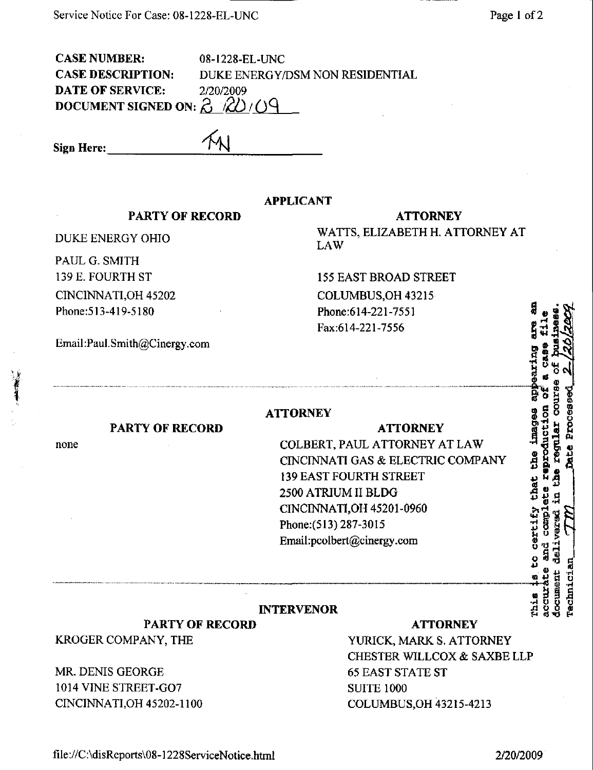CASE NUMBER: 08-1228-EL-UNC **DATE OF SERVICE:** 2/20/2009 DOCUMENT SIGNED ON:  $\beta$   $\cancel{(2)}$  / 09

CASE DESCRIPTION: DUKE ENERGY/DSM NON RESIDENTIAL

Sign Here:

#### APPLICANT

### PARTY OF RECORD

DUKE ENERGY OHIO

PAUL G. SMITH 139 E, FOURTH ST C1NCINNATI,0H 45202 Phone:513-419-5180

Email:Paul.Smith@Cinergy.com

#### ATTORNEY

WATTS, ELIZABETH H. ATTORNEY AT LAW

155 EAST BROAD STREET COLUMBUS,OH43215 Phone:614-221-7551 Fax:614-221-7556

## PARTY OF RECORD

none

## **ATTORNEY**

# ATTORNEY COLBERT, PAUL ATTORNEY AT LAW CINCINNATI GAS & ELECTRIC COMPANY 139 EAST FOURTH STREET 2500 ATRIUM II BLDG CINCINNATI,OH 45201-0960 Phone:(513)287-3015

Email[:pcolbert@cinergy.com](mailto:pcolbert@cinergy.com) 

## INTERVENOR

PARTY OF RECORD KROGER COMPANY, THE

MR. DENIS GEORGE 1014 VINE STREET-G07 CINCINNATLOH 45202-1100

#### ATTORNEY

YURICK, MARK S. ATTORNEY CHESTER WILLCOX & SAXBE LLP 65 EAST STATE ST SUITE 1000 COLUMBUS,OH 43215-4213

**BH** that certif, -rl O O U 2 S S 2